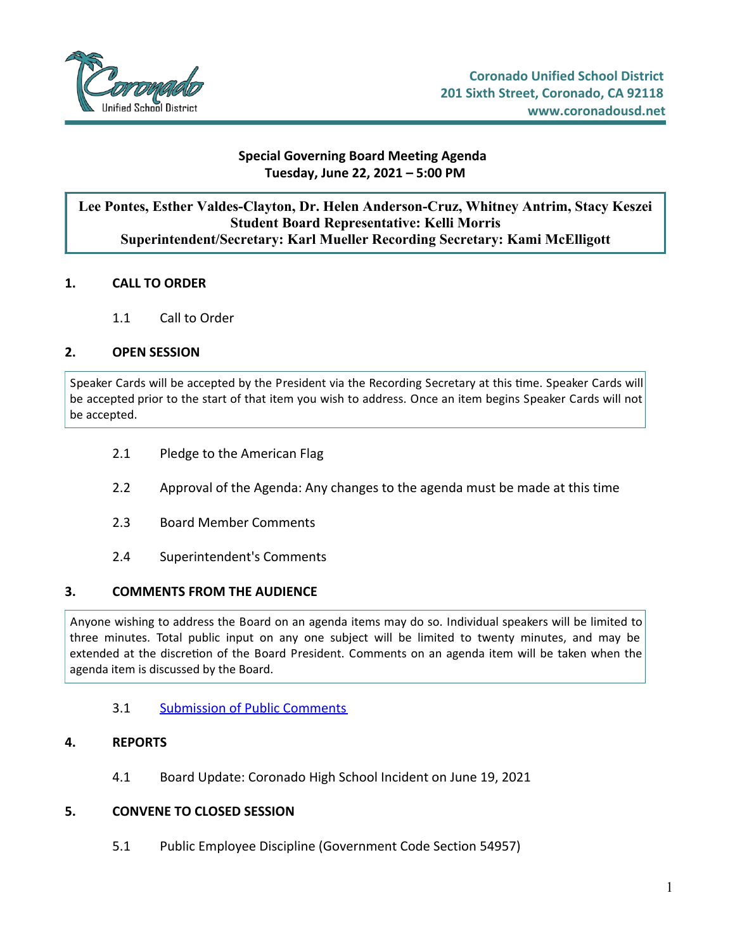

### **Special Governing Board Meeting Agenda Tuesday, June 22, 2021 – 5:00 PM**

## **Lee Pontes, Esther Valdes-Clayton, Dr. Helen Anderson-Cruz, Whitney Antrim, Stacy Keszei Student Board Representative: Kelli Morris Superintendent/Secretary: Karl Mueller Recording Secretary: Kami McElligott**

### **1. CALL TO ORDER**

1.1 Call to Order

## **2. OPEN SESSION**

Speaker Cards will be accepted by the President via the Recording Secretary at this time. Speaker Cards will be accepted prior to the start of that item you wish to address. Once an item begins Speaker Cards will not be accepted.

- 2.1 Pledge to the American Flag
- 2.2 Approval of the Agenda: Any changes to the agenda must be made at this time
- 2.3 Board Member Comments
- 2.4 Superintendent's Comments

#### **3. COMMENTS FROM THE AUDIENCE**

Anyone wishing to address the Board on an agenda items may do so. Individual speakers will be limited to three minutes. Total public input on any one subject will be limited to twenty minutes, and may be extended at the discretion of the Board President. Comments on an agenda item will be taken when the agenda item is discussed by the Board.

3.1 [Submission](https://d2kbkoa27fdvtw.cloudfront.net/coronadousd/06c86cf2ba88bb1935ef572ff403f1660.pdf) of Public Comments

#### **4. REPORTS**

4.1 Board Update: Coronado High School Incident on June 19, 2021

#### **5. CONVENE TO CLOSED SESSION**

5.1 Public Employee Discipline (Government Code Section 54957)